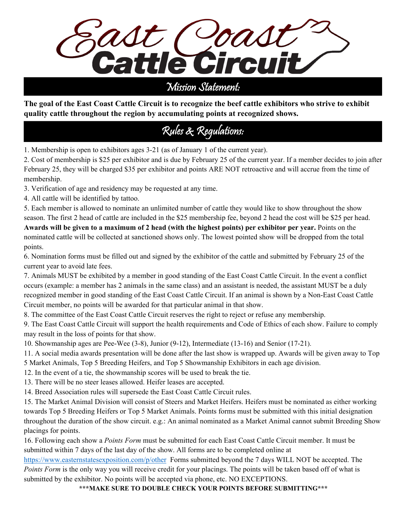

## Mission Statement:

**The goal of the East Coast Cattle Circuit is to recognize the beef cattle exhibitors who strive to exhibit quality cattle throughout the region by accumulating points at recognized shows.**

# Rules & Regulations:

1. Membership is open to exhibitors ages 3-21 (as of January 1 of the current year).

2. Cost of membership is \$25 per exhibitor and is due by February 25 of the current year. If a member decides to join after February 25, they will be charged \$35 per exhibitor and points ARE NOT retroactive and will accrue from the time of membership.

3. Verification of age and residency may be requested at any time.

4. All cattle will be identified by tattoo.

5. Each member is allowed to nominate an unlimited number of cattle they would like to show throughout the show season. The first 2 head of cattle are included in the \$25 membership fee, beyond 2 head the cost will be \$25 per head. **Awards will be given to a maximum of 2 head (with the highest points) per exhibitor per year.** Points on the nominated cattle will be collected at sanctioned shows only. The lowest pointed show will be dropped from the total points.

6. Nomination forms must be filled out and signed by the exhibitor of the cattle and submitted by February 25 of the current year to avoid late fees.

7. Animals MUST be exhibited by a member in good standing of the East Coast Cattle Circuit. In the event a conflict occurs (example: a member has 2 animals in the same class) and an assistant is needed, the assistant MUST be a duly recognized member in good standing of the East Coast Cattle Circuit. If an animal is shown by a Non-East Coast Cattle Circuit member, no points will be awarded for that particular animal in that show.

8. The committee of the East Coast Cattle Circuit reserves the right to reject or refuse any membership.

9. The East Coast Cattle Circuit will support the health requirements and Code of Ethics of each show. Failure to comply may result in the loss of points for that show.

10. Showmanship ages are Pee-Wee (3-8), Junior (9-12), Intermediate (13-16) and Senior (17-21).

11. A social media awards presentation will be done after the last show is wrapped up. Awards will be given away to Top 5 Market Animals, Top 5 Breeding Heifers, and Top 5 Showmanship Exhibitors in each age division.

12. In the event of a tie, the showmanship scores will be used to break the tie.

13. There will be no steer leases allowed. Heifer leases are accepted.

14. Breed Association rules will supersede the East Coast Cattle Circuit rules.

15. The Market Animal Division will consist of Steers and Market Heifers. Heifers must be nominated as either working towards Top 5 Breeding Heifers or Top 5 Market Animals. Points forms must be submitted with this initial designation throughout the duration of the show circuit. e.g.: An animal nominated as a Market Animal cannot submit Breeding Show placings for points.

16. Following each show a *Points Form* must be submitted for each East Coast Cattle Circuit member. It must be submitted within 7 days of the last day of the show. All forms are to be completed online at

https://www.easternstatesexposition.com/p/other Forms submitted beyond the 7 days WILL NOT be accepted. The *Points Form* is the only way you will receive credit for your placings. The points will be taken based off of what is submitted by the exhibitor. No points will be accepted via phone, etc. NO EXCEPTIONS.

**\*\*\*MAKE SURE TO DOUBLE CHECK YOUR POINTS BEFORE SUBMITTING\*\*\***